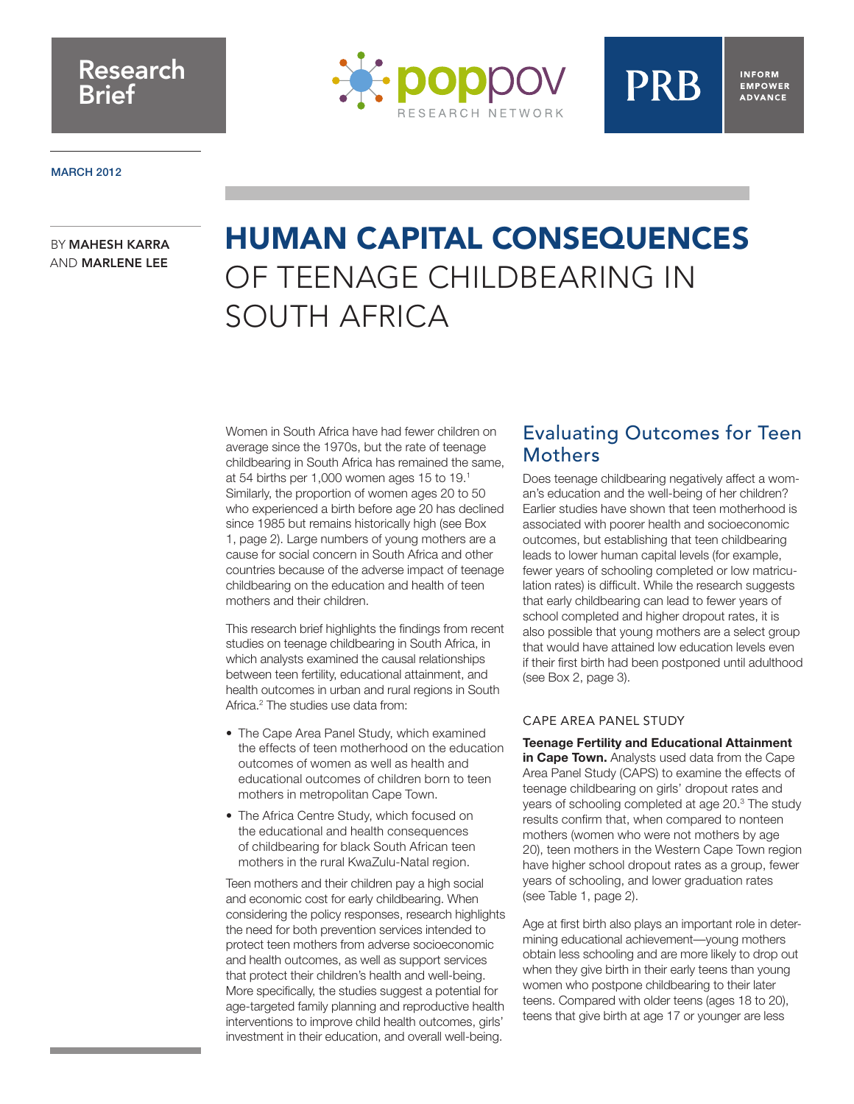## Research Brief



#### **MARCH 2012**

#### BY MAHESH KARRA AND MARLENE LEE

# HUMAN CAPITAL CONSEQUENCES OF TEENAGE CHILDBEARING IN SOUTH AFRICA

Women in South Africa have had fewer children on average since the 1970s, but the rate of teenage childbearing in South Africa has remained the same, at 54 births per 1,000 women ages 15 to 19.1 Similarly, the proportion of women ages 20 to 50 who experienced a birth before age 20 has declined since 1985 but remains historically high (see Box 1, page 2). Large numbers of young mothers are a cause for social concern in South Africa and other countries because of the adverse impact of teenage childbearing on the education and health of teen mothers and their children.

This research brief highlights the findings from recent studies on teenage childbearing in South Africa, in which analysts examined the causal relationships between teen fertility, educational attainment, and health outcomes in urban and rural regions in South Africa.<sup>2</sup> The studies use data from:

- The Cape Area Panel Study, which examined the effects of teen motherhood on the education outcomes of women as well as health and educational outcomes of children born to teen mothers in metropolitan Cape Town.
- The Africa Centre Study, which focused on the educational and health consequences of childbearing for black South African teen mothers in the rural KwaZulu-Natal region.

Teen mothers and their children pay a high social and economic cost for early childbearing. When considering the policy responses, research highlights the need for both prevention services intended to protect teen mothers from adverse socioeconomic and health outcomes, as well as support services that protect their children's health and well-being. More specifically, the studies suggest a potential for age-targeted family planning and reproductive health interventions to improve child health outcomes, girls' investment in their education, and overall well-being.

### Evaluating Outcomes for Teen Mothers

**PRB** 

**INFORM** 

**EMPOWER ADVANCE** 

Does teenage childbearing negatively affect a woman's education and the well-being of her children? Earlier studies have shown that teen motherhood is associated with poorer health and socioeconomic outcomes, but establishing that teen childbearing leads to lower human capital levels (for example, fewer years of schooling completed or low matriculation rates) is difficult. While the research suggests that early childbearing can lead to fewer years of school completed and higher dropout rates, it is also possible that young mothers are a select group that would have attained low education levels even if their first birth had been postponed until adulthood (see Box 2, page 3).

#### CAPE AREA PANEL STUDY

**Teenage Fertility and Educational Attainment in Cape Town.** Analysts used data from the Cape Area Panel Study (CAPS) to examine the effects of teenage childbearing on girls' dropout rates and years of schooling completed at age 20.3 The study results confirm that, when compared to nonteen mothers (women who were not mothers by age 20), teen mothers in the Western Cape Town region have higher school dropout rates as a group, fewer years of schooling, and lower graduation rates (see Table 1, page 2).

Age at first birth also plays an important role in determining educational achievement—young mothers obtain less schooling and are more likely to drop out when they give birth in their early teens than young women who postpone childbearing to their later teens. Compared with older teens (ages 18 to 20), teens that give birth at age 17 or younger are less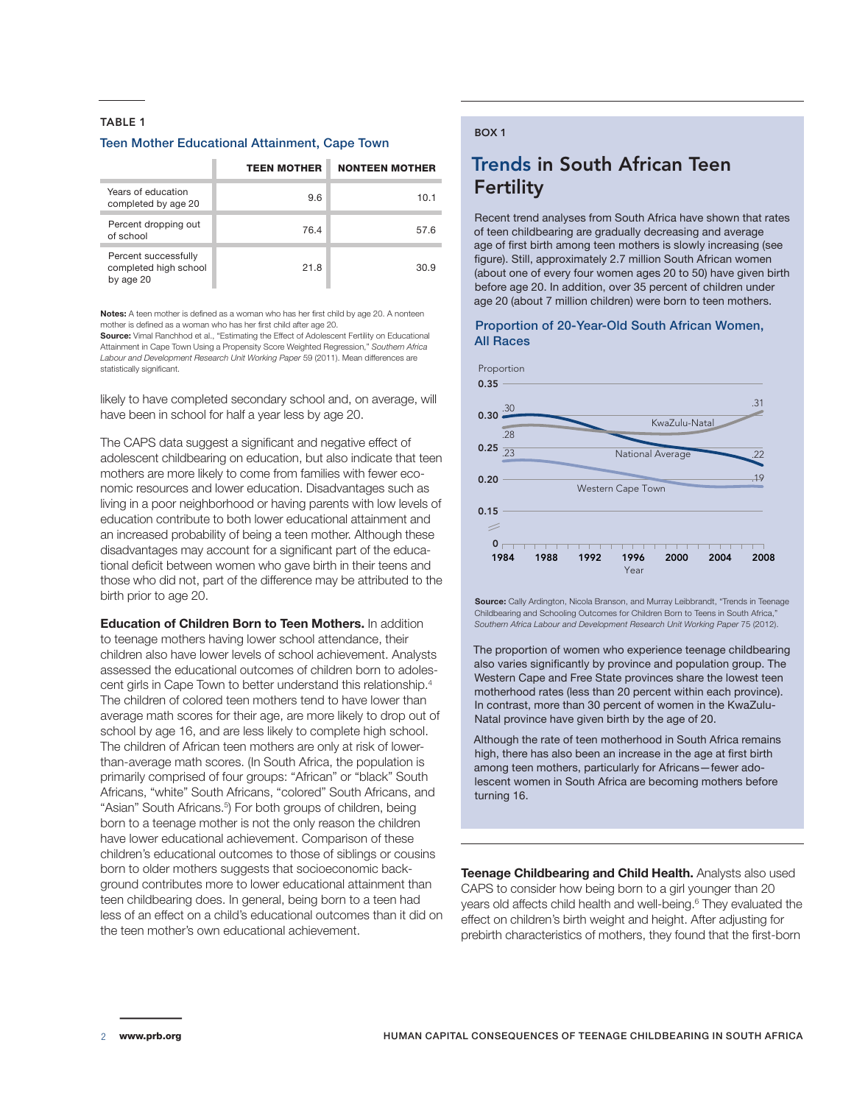#### TABLE 1

#### Teen Mother Educational Attainment, Cape Town

|                                                            | <b>TEEN MOTHER</b> | <b>NONTEEN MOTHER</b> |
|------------------------------------------------------------|--------------------|-----------------------|
| Years of education<br>completed by age 20                  | 9.6                | 10.1                  |
| Percent dropping out<br>of school                          | 76.4               | 57.6                  |
| Percent successfully<br>completed high school<br>by age 20 | 21.8               | 30.9                  |

**Notes:** A teen mother is defined as a woman who has her first child by age 20. A nonteen mother is defined as a woman who has her first child after age 20.

**Source:** Vimal Ranchhod et al., "Estimating the Effect of Adolescent Fertility on Educational Attainment in Cape Town Using a Propensity Score Weighted Regression," *Southern Africa Labour and Development Research Unit Working Paper* 59 (2011). Mean differences are statistically significant.

likely to have completed secondary school and, on average, will have been in school for half a year less by age 20.

The CAPS data suggest a significant and negative effect of adolescent childbearing on education, but also indicate that teen mothers are more likely to come from families with fewer economic resources and lower education. Disadvantages such as living in a poor neighborhood or having parents with low levels of education contribute to both lower educational attainment and an increased probability of being a teen mother. Although these disadvantages may account for a significant part of the educational deficit between women who gave birth in their teens and those who did not, part of the difference may be attributed to the birth prior to age 20.

**Education of Children Born to Teen Mothers.** In addition to teenage mothers having lower school attendance, their children also have lower levels of school achievement. Analysts assessed the educational outcomes of children born to adolescent girls in Cape Town to better understand this relationship.4 The children of colored teen mothers tend to have lower than average math scores for their age, are more likely to drop out of school by age 16, and are less likely to complete high school. The children of African teen mothers are only at risk of lowerthan-average math scores. (In South Africa, the population is primarily comprised of four groups: "African" or "black" South Africans, "white" South Africans, "colored" South Africans, and "Asian" South Africans.<sup>5</sup>) For both groups of children, being born to a teenage mother is not the only reason the children have lower educational achievement. Comparison of these children's educational outcomes to those of siblings or cousins born to older mothers suggests that socioeconomic background contributes more to lower educational attainment than teen childbearing does. In general, being born to a teen had less of an effect on a child's educational outcomes than it did on the teen mother's own educational achievement.

#### BOX 1

### Trends in South African Teen **Fertility**

Recent trend analyses from South Africa have shown that rates of teen childbearing are gradually decreasing and average age of first birth among teen mothers is slowly increasing (see figure). Still, approximately 2.7 million South African women (about one of every four women ages 20 to 50) have given birth before age 20. In addition, over 35 percent of children under age 20 (about 7 million children) were born to teen mothers.

#### Proportion of 20-Year-Old South African Women, All Races



**Source:** Cally Ardington, Nicola Branson, and Murray Leibbrandt, "Trends in Teenage Childbearing and Schooling Outcomes for Children Born to Teens in South Africa," *Southern Africa Labour and Development Research Unit Working Paper* 75 (2012).

The proportion of women who experience teenage childbearing also varies significantly by province and population group. The Western Cape and Free State provinces share the lowest teen motherhood rates (less than 20 percent within each province). In contrast, more than 30 percent of women in the KwaZulu-Natal province have given birth by the age of 20.

Although the rate of teen motherhood in South Africa remains high, there has also been an increase in the age at first birth among teen mothers, particularly for Africans—fewer adolescent women in South Africa are becoming mothers before turning 16.

**Teenage Childbearing and Child Health.** Analysts also used CAPS to consider how being born to a girl younger than 20 years old affects child health and well-being.<sup>6</sup> They evaluated the effect on children's birth weight and height. After adjusting for prebirth characteristics of mothers, they found that the first-born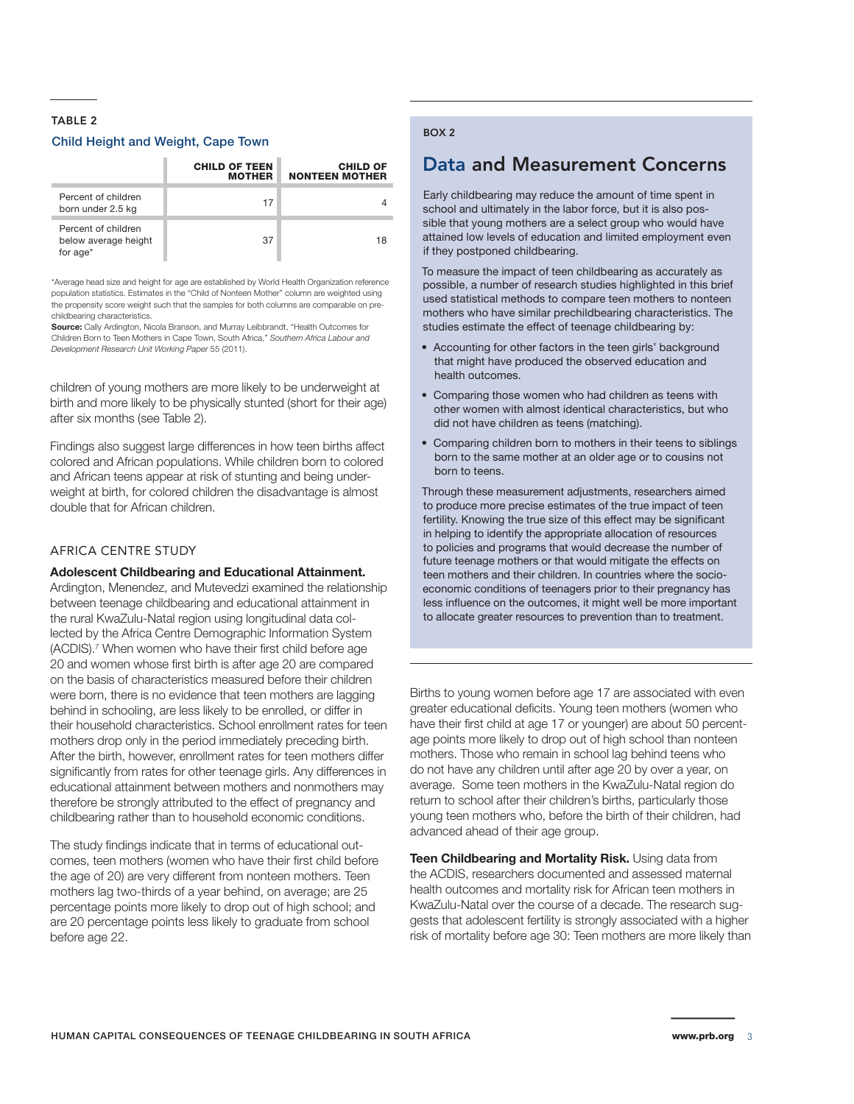#### TABLE 2

#### Child Height and Weight, Cape Town

|                                                         | <b>CHILD OF TEEN</b><br><b>MOTHER</b> | <b>CHILD OF</b><br><b>NONTEEN MOTHER</b> |
|---------------------------------------------------------|---------------------------------------|------------------------------------------|
| Percent of children<br>born under 2.5 kg                | 17                                    |                                          |
| Percent of children<br>below average height<br>for age* | 37                                    | 18                                       |

\*Average head size and height for age are established by World Health Organization reference population statistics. Estimates in the "Child of Nonteen Mother" column are weighted using the propensity score weight such that the samples for both columns are comparable on prechildbearing characteristics.

**Source:** Cally Ardington, Nicola Branson, and Murray Leibbrandt, "Health Outcomes for Children Born to Teen Mothers in Cape Town, South Africa," *Southern Africa Labour and Development Research Unit Working Paper* 55 (2011).

children of young mothers are more likely to be underweight at birth and more likely to be physically stunted (short for their age) after six months (see Table 2).

Findings also suggest large differences in how teen births affect colored and African populations. While children born to colored and African teens appear at risk of stunting and being underweight at birth, for colored children the disadvantage is almost double that for African children.

#### AFRICA CENTRE STUDY

#### **Adolescent Childbearing and Educational Attainment.**

Ardington, Menendez, and Mutevedzi examined the relationship between teenage childbearing and educational attainment in the rural KwaZulu-Natal region using longitudinal data collected by the Africa Centre Demographic Information System (ACDIS).<sup>7</sup> When women who have their first child before age 20 and women whose first birth is after age 20 are compared on the basis of characteristics measured before their children were born, there is no evidence that teen mothers are lagging behind in schooling, are less likely to be enrolled, or differ in their household characteristics. School enrollment rates for teen mothers drop only in the period immediately preceding birth. After the birth, however, enrollment rates for teen mothers differ significantly from rates for other teenage girls. Any differences in educational attainment between mothers and nonmothers may therefore be strongly attributed to the effect of pregnancy and childbearing rather than to household economic conditions.

The study findings indicate that in terms of educational outcomes, teen mothers (women who have their first child before the age of 20) are very different from nonteen mothers. Teen mothers lag two-thirds of a year behind, on average; are 25 percentage points more likely to drop out of high school; and are 20 percentage points less likely to graduate from school before age 22.

#### BOX 2

### Data and Measurement Concerns

Early childbearing may reduce the amount of time spent in school and ultimately in the labor force, but it is also possible that young mothers are a select group who would have attained low levels of education and limited employment even if they postponed childbearing.

To measure the impact of teen childbearing as accurately as possible, a number of research studies highlighted in this brief used statistical methods to compare teen mothers to nonteen mothers who have similar prechildbearing characteristics. The studies estimate the effect of teenage childbearing by:

- Accounting for other factors in the teen girls' background that might have produced the observed education and health outcomes.
- Comparing those women who had children as teens with other women with almost identical characteristics, but who did not have children as teens (matching).
- Comparing children born to mothers in their teens to siblings born to the same mother at an older age or to cousins not born to teens.

Through these measurement adjustments, researchers aimed to produce more precise estimates of the true impact of teen fertility. Knowing the true size of this effect may be significant in helping to identify the appropriate allocation of resources to policies and programs that would decrease the number of future teenage mothers or that would mitigate the effects on teen mothers and their children. In countries where the socioeconomic conditions of teenagers prior to their pregnancy has less influence on the outcomes, it might well be more important to allocate greater resources to prevention than to treatment.

Births to young women before age 17 are associated with even greater educational deficits. Young teen mothers (women who have their first child at age 17 or younger) are about 50 percentage points more likely to drop out of high school than nonteen mothers. Those who remain in school lag behind teens who do not have any children until after age 20 by over a year, on average. Some teen mothers in the KwaZulu-Natal region do return to school after their children's births, particularly those young teen mothers who, before the birth of their children, had advanced ahead of their age group.

**Teen Childbearing and Mortality Risk.** Using data from the ACDIS, researchers documented and assessed maternal health outcomes and mortality risk for African teen mothers in KwaZulu-Natal over the course of a decade. The research suggests that adolescent fertility is strongly associated with a higher risk of mortality before age 30: Teen mothers are more likely than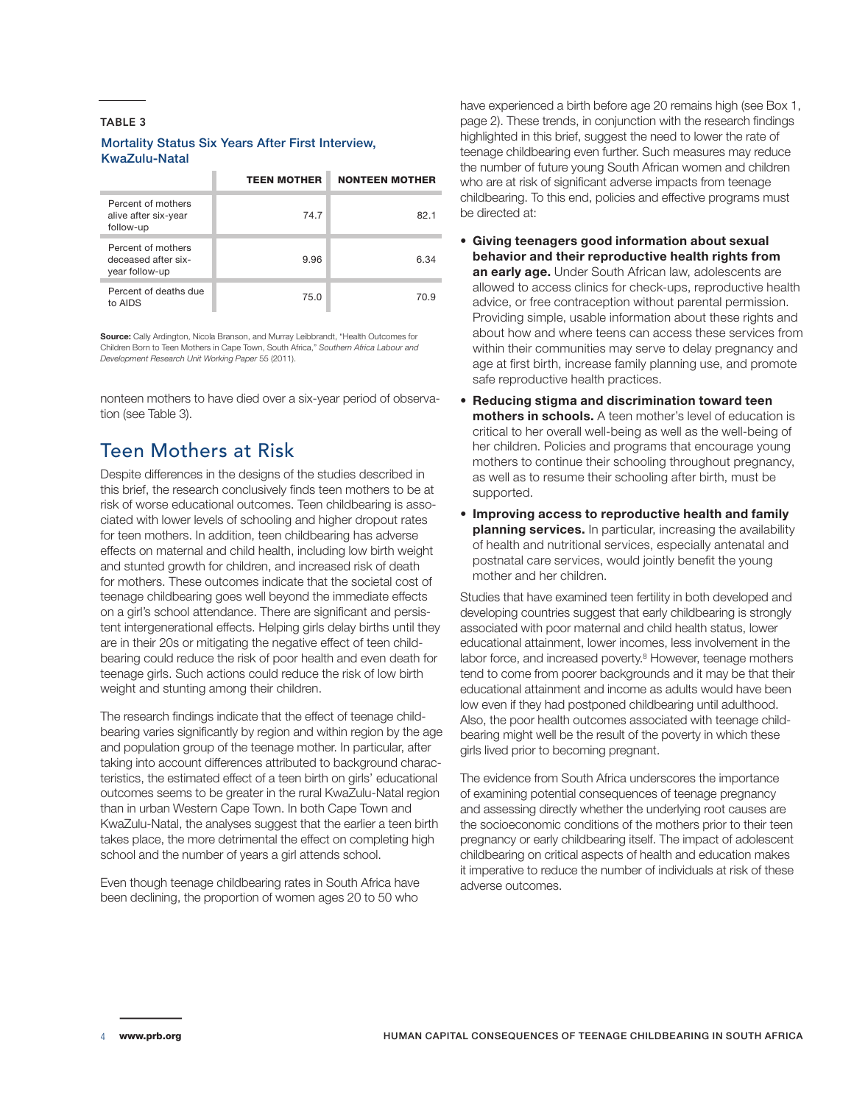#### TABLE 3

#### Mortality Status Six Years After First Interview, KwaZulu-Natal

|                                                             | <b>TEEN MOTHER</b> | <b>NONTEEN MOTHER</b> |
|-------------------------------------------------------------|--------------------|-----------------------|
| Percent of mothers<br>alive after six-year<br>follow-up     | 74.7               | 82.1                  |
| Percent of mothers<br>deceased after six-<br>year follow-up | 9.96               | 6.34                  |
| Percent of deaths due<br>to AIDS                            | 75.0               | 70.9                  |

**Source:** Cally Ardington, Nicola Branson, and Murray Leibbrandt, "Health Outcomes for Children Born to Teen Mothers in Cape Town, South Africa," *Southern Africa Labour and Development Research Unit Working Paper* 55 (2011).

nonteen mothers to have died over a six-year period of observation (see Table 3).

### Teen Mothers at Risk

Despite differences in the designs of the studies described in this brief, the research conclusively finds teen mothers to be at risk of worse educational outcomes. Teen childbearing is associated with lower levels of schooling and higher dropout rates for teen mothers. In addition, teen childbearing has adverse effects on maternal and child health, including low birth weight and stunted growth for children, and increased risk of death for mothers. These outcomes indicate that the societal cost of teenage childbearing goes well beyond the immediate effects on a girl's school attendance. There are significant and persistent intergenerational effects. Helping girls delay births until they are in their 20s or mitigating the negative effect of teen childbearing could reduce the risk of poor health and even death for teenage girls. Such actions could reduce the risk of low birth weight and stunting among their children.

The research findings indicate that the effect of teenage childbearing varies significantly by region and within region by the age and population group of the teenage mother. In particular, after taking into account differences attributed to background characteristics, the estimated effect of a teen birth on girls' educational outcomes seems to be greater in the rural KwaZulu-Natal region than in urban Western Cape Town. In both Cape Town and KwaZulu-Natal, the analyses suggest that the earlier a teen birth takes place, the more detrimental the effect on completing high school and the number of years a girl attends school.

Even though teenage childbearing rates in South Africa have been declining, the proportion of women ages 20 to 50 who

have experienced a birth before age 20 remains high (see Box 1, page 2). These trends, in conjunction with the research findings highlighted in this brief, suggest the need to lower the rate of teenage childbearing even further. Such measures may reduce the number of future young South African women and children who are at risk of significant adverse impacts from teenage childbearing. To this end, policies and effective programs must be directed at:

- **Giving teenagers good information about sexual behavior and their reproductive health rights from an early age.** Under South African law, adolescents are allowed to access clinics for check-ups, reproductive health advice, or free contraception without parental permission. Providing simple, usable information about these rights and about how and where teens can access these services from within their communities may serve to delay pregnancy and age at first birth, increase family planning use, and promote safe reproductive health practices.
- **Reducing stigma and discrimination toward teen mothers in schools.** A teen mother's level of education is critical to her overall well-being as well as the well-being of her children. Policies and programs that encourage young mothers to continue their schooling throughout pregnancy, as well as to resume their schooling after birth, must be supported.
- **Improving access to reproductive health and family planning services.** In particular, increasing the availability of health and nutritional services, especially antenatal and postnatal care services, would jointly benefit the young mother and her children.

Studies that have examined teen fertility in both developed and developing countries suggest that early childbearing is strongly associated with poor maternal and child health status, lower educational attainment, lower incomes, less involvement in the labor force, and increased poverty.<sup>8</sup> However, teenage mothers tend to come from poorer backgrounds and it may be that their educational attainment and income as adults would have been low even if they had postponed childbearing until adulthood. Also, the poor health outcomes associated with teenage childbearing might well be the result of the poverty in which these girls lived prior to becoming pregnant.

The evidence from South Africa underscores the importance of examining potential consequences of teenage pregnancy and assessing directly whether the underlying root causes are the socioeconomic conditions of the mothers prior to their teen pregnancy or early childbearing itself. The impact of adolescent childbearing on critical aspects of health and education makes it imperative to reduce the number of individuals at risk of these adverse outcomes.